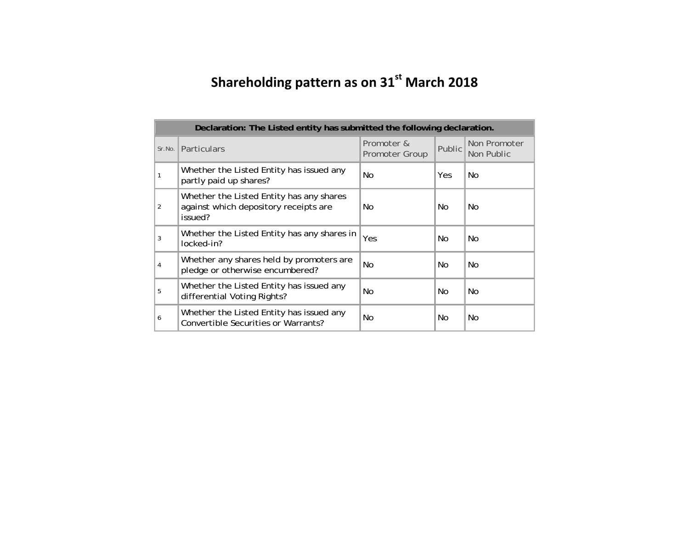## **Shareholding pattern as on <sup>31</sup>st March <sup>2018</sup>**

|                | Declaration: The Listed entity has submitted the following declaration.                      |                              |        |                            |
|----------------|----------------------------------------------------------------------------------------------|------------------------------|--------|----------------------------|
| Sr.No.         | <b>Particulars</b>                                                                           | Promoter &<br>Promoter Group | Public | Non Promoter<br>Non Public |
|                | Whether the Listed Entity has issued any<br>partly paid up shares?                           | No                           | Yes.   | No.                        |
| $\overline{2}$ | Whether the Listed Entity has any shares<br>against which depository receipts are<br>issued? | No.                          | No.    | No.                        |
| 3              | Whether the Listed Entity has any shares in<br>locked-in?                                    | Yes                          | No.    | No.                        |
| 4              | Whether any shares held by promoters are<br>pledge or otherwise encumbered?                  | <b>No</b>                    | No.    | No.                        |
| 5              | Whether the Listed Entity has issued any<br>differential Voting Rights?                      | No                           | No.    | No.                        |
| 6              | Whether the Listed Entity has issued any<br>Convertible Securities or Warrants?              | No                           | No.    | No.                        |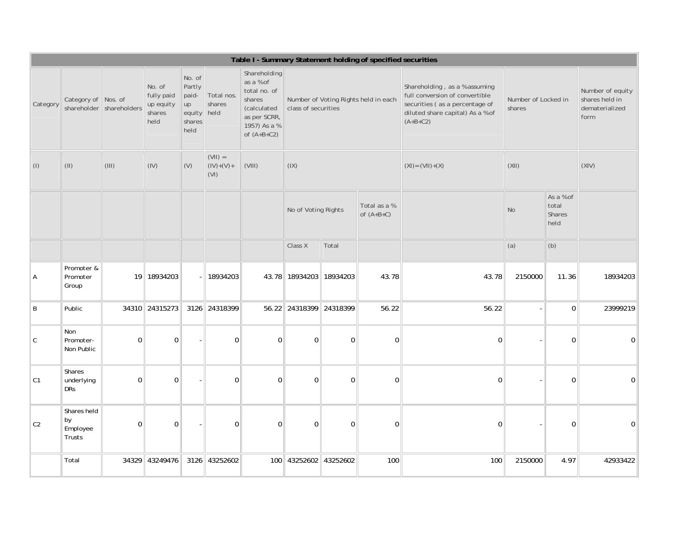|                |                                             |              |                                                     |                                                             |                                  |                                                                                                                     |                             |             | Table I - Summary Statement holding of specified securities |                                                                                                                                                     |                               |                                      |                                                              |
|----------------|---------------------------------------------|--------------|-----------------------------------------------------|-------------------------------------------------------------|----------------------------------|---------------------------------------------------------------------------------------------------------------------|-----------------------------|-------------|-------------------------------------------------------------|-----------------------------------------------------------------------------------------------------------------------------------------------------|-------------------------------|--------------------------------------|--------------------------------------------------------------|
| Category       | Category of Nos. of<br>shareholder          | shareholders | No. of<br>fully paid<br>up equity<br>shares<br>held | No. of<br>Partly<br>paid-<br>up<br>equity<br>shares<br>held | Total nos.<br>shares<br>held     | Shareholding<br>as a % of<br>total no. of<br>shares<br>(calculated<br>as per SCRR,<br>1957) As a %<br>of $(A+B+C2)$ | class of securities         |             | Number of Voting Rights held in each                        | Shareholding, as a % assuming<br>full conversion of convertible<br>securities (as a percentage of<br>diluted share capital) As a % of<br>$(A+B+C2)$ | Number of Locked in<br>shares |                                      | Number of equity<br>shares held in<br>dematerialized<br>form |
| $($ l $)$      | (11)                                        | (III)        | (IV)                                                | (V)                                                         | $(VII) =$<br>$(IV)+(V)+$<br>(VI) | (VIII)                                                                                                              | (IX)                        |             |                                                             | $(XI) = (VII)+(X)$                                                                                                                                  | (XII)                         |                                      | (XIV)                                                        |
|                |                                             |              |                                                     |                                                             |                                  |                                                                                                                     | No of Voting Rights         |             | Total as a %<br>of $(A+B+C)$                                |                                                                                                                                                     | No                            | As a % of<br>total<br>Shares<br>held |                                                              |
|                |                                             |              |                                                     |                                                             |                                  |                                                                                                                     | Class X                     | Total       |                                                             |                                                                                                                                                     | (a)                           | (b)                                  |                                                              |
| А              | Promoter &<br>Promoter<br>Group             |              | 19 18934203                                         |                                                             | 18934203                         |                                                                                                                     | 43.78   18934203   18934203 |             | 43.78                                                       | 43.78                                                                                                                                               | 2150000                       | 11.36                                | 18934203                                                     |
| B              | Public                                      |              | 34310 24315273                                      |                                                             | 3126 24318399                    |                                                                                                                     | 56.22 24318399 24318399     |             | 56.22                                                       | 56.22                                                                                                                                               |                               | $\Omega$                             | 23999219                                                     |
| C              | Non<br>Promoter-<br>Non Public              | $\Omega$     | $\Omega$                                            |                                                             | $\Omega$                         | $\Omega$                                                                                                            | $\Omega$                    | $\Omega$    | $\overline{0}$                                              | $\Omega$                                                                                                                                            |                               | $\overline{0}$                       | $\mathbf{0}$                                                 |
| C1             | Shares<br>underlying<br><b>DRs</b>          | 0            | $\mathbf 0$                                         |                                                             | $\mathbf 0$                      | $\mathbf 0$                                                                                                         | $\mathbf 0$                 | $\mathbf 0$ | $\pmb{0}$                                                   | $\Omega$                                                                                                                                            |                               | 0                                    | $\Omega$                                                     |
| C <sub>2</sub> | Shares held<br>$ $ by<br>Employee<br>Trusts | 0            | $\mathbf 0$                                         |                                                             | $\mathbf 0$                      | $\mathbf 0$                                                                                                         | $\mathbf 0$                 | $\mathbf 0$ | $\overline{0}$                                              | $\Omega$                                                                                                                                            |                               | $\Omega$                             | $\Omega$                                                     |
|                | Total                                       |              | 34329 43249476                                      |                                                             | 3126 43252602                    | 100                                                                                                                 | 43252602 43252602           |             | 100                                                         | 100                                                                                                                                                 | 2150000                       | 4.97                                 | 42933422                                                     |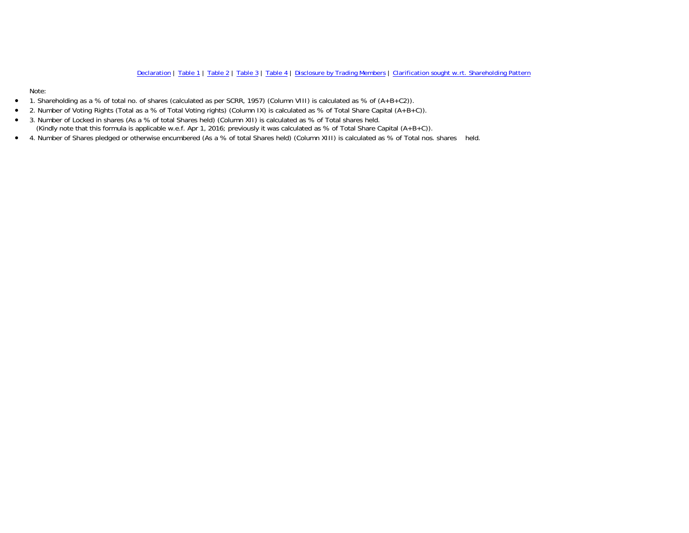Note:

- $\bullet$ 1. Shareholding as a % of total no. of shares (calculated as per SCRR, 1957) (Column VIII) is calculated as % of (A+B+C2)).
- $\bullet$ 2. Number of Voting Rights (Total as a % of Total Voting rights) (Column IX) is calculated as % of Total Share Capital (A+B+C)).
- $\bullet$  3. Number of Locked in shares (As a % of total Shares held) (Column XII) is calculated as % of Total shares held. (Kindly note that this formula is applicable w.e.f. Apr 1, 2016; previously it was calculated as % of Total Share Capital (A+B+C)).
- 4. Number of Shares pledged or otherwise encumbered (As a % of total Shares held) (Column XIII) is calculated as % of Total nos. shares held.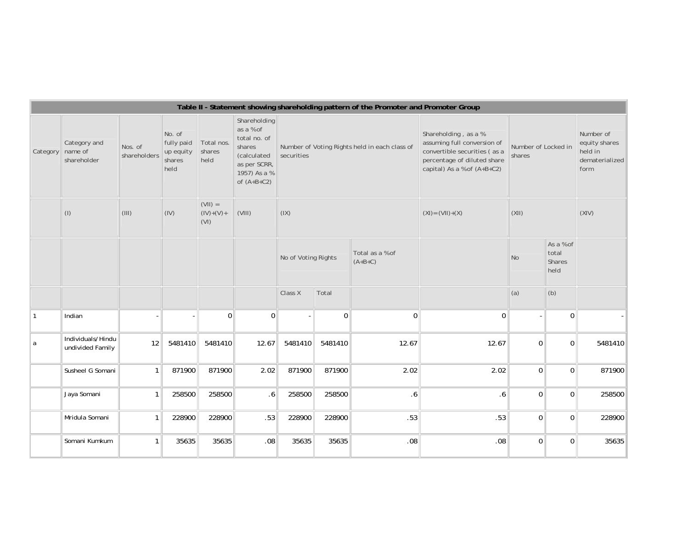|          |                                        | Table II - Statement showing shareholding pattern of the Promoter and Promoter Group<br>Shareholding<br>as a % of<br>Shareholding, as a %<br>Number of<br>No. of<br>total no. of<br>assuming full conversion of<br>fully paid<br>equity shares<br>Total nos.<br>Nos. of<br>shares<br>Number of Voting Rights held in each class of<br>Number of Locked in<br>convertible securities (as a<br>shares<br>held in<br>up equity<br>shareholders<br>(calculated<br>securities<br>shares<br>held<br>percentage of diluted share<br>dematerialized<br>shares<br>as per SCRR,<br>capital) As a % of (A+B+C2)<br>held<br>form<br>1957) As a %<br>of $(A+B+C2)$<br>$(VII) =$<br>(III)<br>(IV)<br>$(IV)+(V) +$<br>(VIII)<br>(IX)<br>(X  )<br>(XIV)<br>$(XI) = (VII)+(X)$<br>(VI)<br>As a % of<br>Total as a % of<br>total<br>No of Voting Rights<br>N <sub>o</sub><br>$(A+B+C)$<br>Shares<br>held<br>(a)<br>(b)<br>Total<br>Class X<br>$\Omega$<br>$\Omega$<br>$\mathbf 0$<br>$\overline{0}$<br>$\mathbf 0$<br>$\overline{0}$<br>12<br>5481410<br>5481410<br>12.67<br>5481410<br>5481410<br>12.67<br>12.67<br> 0 <br>5481410<br>$\mathbf 0$<br>2.02<br>2.02<br>$\Omega$<br>871900<br>871900<br>871900<br>871900<br>2.02<br>$\Omega$<br>871900<br>$\Omega$<br>258500<br>258500<br>258500<br>258500<br>$\Omega$<br>258500<br>.6<br>.6<br>.6<br>228900<br>228900<br>.53<br>228900<br>228900<br>.53<br>.53<br>$\mathbf 0$<br>0 <sup>1</sup><br>228900 |       |       |         |       |       |         |     |                |                |       |  |
|----------|----------------------------------------|----------------------------------------------------------------------------------------------------------------------------------------------------------------------------------------------------------------------------------------------------------------------------------------------------------------------------------------------------------------------------------------------------------------------------------------------------------------------------------------------------------------------------------------------------------------------------------------------------------------------------------------------------------------------------------------------------------------------------------------------------------------------------------------------------------------------------------------------------------------------------------------------------------------------------------------------------------------------------------------------------------------------------------------------------------------------------------------------------------------------------------------------------------------------------------------------------------------------------------------------------------------------------------------------------------------------------------------------------------------------------------------------------------------------------------------|-------|-------|---------|-------|-------|---------|-----|----------------|----------------|-------|--|
| Category | Category and<br>name of<br>shareholder |                                                                                                                                                                                                                                                                                                                                                                                                                                                                                                                                                                                                                                                                                                                                                                                                                                                                                                                                                                                                                                                                                                                                                                                                                                                                                                                                                                                                                                        |       |       |         |       |       |         |     |                |                |       |  |
|          | $($ l $)$                              |                                                                                                                                                                                                                                                                                                                                                                                                                                                                                                                                                                                                                                                                                                                                                                                                                                                                                                                                                                                                                                                                                                                                                                                                                                                                                                                                                                                                                                        |       |       |         |       |       |         |     |                |                |       |  |
|          |                                        |                                                                                                                                                                                                                                                                                                                                                                                                                                                                                                                                                                                                                                                                                                                                                                                                                                                                                                                                                                                                                                                                                                                                                                                                                                                                                                                                                                                                                                        |       |       |         |       |       |         |     |                |                |       |  |
|          |                                        |                                                                                                                                                                                                                                                                                                                                                                                                                                                                                                                                                                                                                                                                                                                                                                                                                                                                                                                                                                                                                                                                                                                                                                                                                                                                                                                                                                                                                                        |       |       |         |       |       |         |     |                |                |       |  |
|          | Indian                                 |                                                                                                                                                                                                                                                                                                                                                                                                                                                                                                                                                                                                                                                                                                                                                                                                                                                                                                                                                                                                                                                                                                                                                                                                                                                                                                                                                                                                                                        |       |       |         |       |       |         |     |                |                |       |  |
| a        | Individuals/Hindu<br>undivided Family  |                                                                                                                                                                                                                                                                                                                                                                                                                                                                                                                                                                                                                                                                                                                                                                                                                                                                                                                                                                                                                                                                                                                                                                                                                                                                                                                                                                                                                                        |       |       |         |       |       |         |     |                |                |       |  |
|          | Susheel G Somani                       |                                                                                                                                                                                                                                                                                                                                                                                                                                                                                                                                                                                                                                                                                                                                                                                                                                                                                                                                                                                                                                                                                                                                                                                                                                                                                                                                                                                                                                        |       |       |         |       |       |         |     |                |                |       |  |
|          | Jaya Somani                            |                                                                                                                                                                                                                                                                                                                                                                                                                                                                                                                                                                                                                                                                                                                                                                                                                                                                                                                                                                                                                                                                                                                                                                                                                                                                                                                                                                                                                                        |       |       |         |       |       |         |     |                |                |       |  |
|          | Mridula Somani                         |                                                                                                                                                                                                                                                                                                                                                                                                                                                                                                                                                                                                                                                                                                                                                                                                                                                                                                                                                                                                                                                                                                                                                                                                                                                                                                                                                                                                                                        |       |       |         |       |       |         |     |                |                |       |  |
|          | Somani Kumkum                          |                                                                                                                                                                                                                                                                                                                                                                                                                                                                                                                                                                                                                                                                                                                                                                                                                                                                                                                                                                                                                                                                                                                                                                                                                                                                                                                                                                                                                                        | 35635 | 35635 | $.08\,$ | 35635 | 35635 | $.08\,$ | .08 | $\overline{0}$ | $\overline{0}$ | 35635 |  |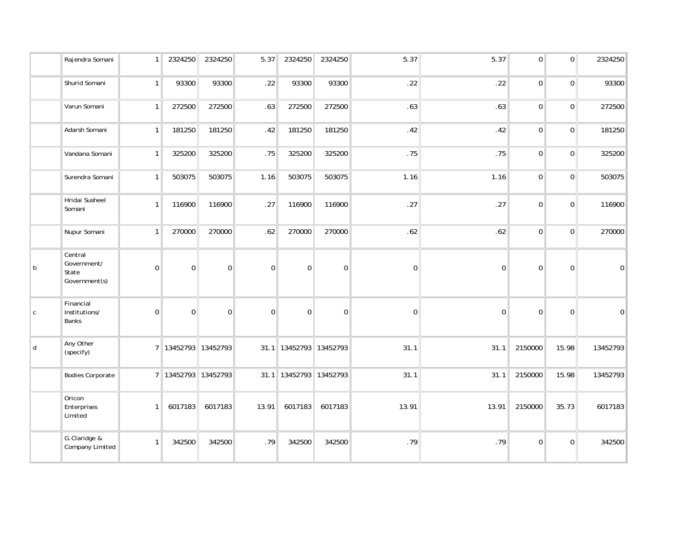|              | Rajendra Somani                                  |              | 2324250                 | 2324250  | 5.37        | 2324250                    | 2324250        | 5.37             | 5.37        | $\boldsymbol{0}$ | $\overline{0}$ | 2324250  |
|--------------|--------------------------------------------------|--------------|-------------------------|----------|-------------|----------------------------|----------------|------------------|-------------|------------------|----------------|----------|
|              | Shurid Somani                                    | 1            | 93300                   | 93300    | .22         | 93300                      | 93300          | .22              | .22         | $\pmb{0}$        | $\Omega$       | 93300    |
|              | Varun Somani                                     | 1            | 272500                  | 272500   | .63         | 272500                     | 272500         | .63              | .63         | $\mathbf 0$      | $\overline{0}$ | 272500   |
|              | Adarsh Somani                                    | $\mathbf{1}$ | 181250                  | 181250   | .42         | 181250                     | 181250         | .42              | .42         | $\Omega$         | $\Omega$       | 181250   |
|              | Vandana Somani                                   | 1            | 325200                  | 325200   | .75         | 325200                     | 325200         | .75              | .75         | $\Omega$         | $\overline{0}$ | 325200   |
|              | Surendra Somani                                  | 1            | 503075                  | 503075   | 1.16        | 503075                     | 503075         | 1.16             | 1.16        | $\mathbf 0$      | $\overline{0}$ | 503075   |
|              | Hridai Susheel<br>Somani                         | 1            | 116900                  | 116900   | .27         | 116900                     | 116900         | .27              | .27         | $\Omega$         | $\overline{0}$ | 116900   |
|              | Nupur Somani                                     | 1            | 270000                  | 270000   | .62         | 270000                     | 270000         | .62              | .62         | $\Omega$         | $\overline{0}$ | 270000   |
| $\mathsf{b}$ | Central<br>Government/<br>State<br>Government(s) | $\Omega$     | $\Omega$                | 0        | $\mathbf 0$ | $\Omega$                   | $\Omega$       | $\mathbf 0$      | $\Omega$    | $\Omega$         | $\Omega$       | $\Omega$ |
| $\mathsf{C}$ | Financial<br>Institutions/<br>Banks              | $\mathbf 0$  | $\mathbf 0$             | 0        | $\mathbf 0$ | $\Omega$                   | $\overline{0}$ | $\boldsymbol{0}$ | $\mathbf 0$ | $\Omega$         | $\Omega$       | 0        |
| d            | Any Other<br>(specify)                           |              | 7 13452793              | 13452793 |             | 31.1   13452793   13452793 |                | 31.1             | 31.1        | 2150000          | 15.98          | 13452793 |
|              | <b>Bodies Corporate</b>                          |              | 7   13452793   13452793 |          |             | 31.1   13452793   13452793 |                | 31.1             | 31.1        | 2150000          | 15.98          | 13452793 |
|              | Oricon<br>Enterprises<br>Limited                 | $\mathbf{1}$ | 6017183                 | 6017183  | 13.91       | 6017183                    | 6017183        | 13.91            | 13.91       | 2150000          | 35.73          | 6017183  |
|              | G.Claridge &<br>Company Limited                  | $\mathbf{1}$ | 342500                  | 342500   | .79         | 342500                     | 342500         | .79              | .79         | $\Omega$         | $\Omega$       | 342500   |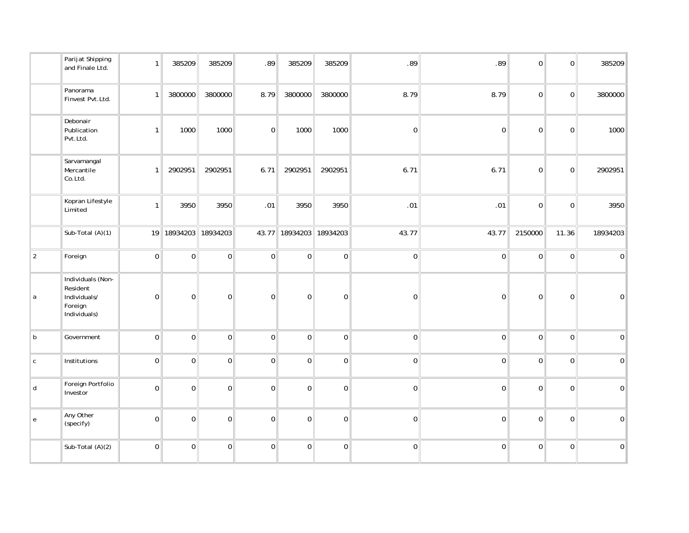|               | Parijat Shipping<br>and Finale Ltd.                                      | 1              | 385209           | 385209               | .89              | 385209                      | 385209           | .89              | .89              | $\overline{0}$ | 0           | 385209           |
|---------------|--------------------------------------------------------------------------|----------------|------------------|----------------------|------------------|-----------------------------|------------------|------------------|------------------|----------------|-------------|------------------|
|               | Panorama<br>Finvest Pvt.Ltd.                                             | $\mathbf{1}$   | 3800000          | 3800000              | 8.79             | 3800000                     | 3800000          | 8.79             | 8.79             | $\overline{0}$ | 0           | 3800000          |
|               | Debonair<br>Publication<br>Pvt.Ltd.                                      | $\mathbf{1}$   | 1000             | 1000                 | 0                | 1000                        | 1000             | $\pmb{0}$        | $\boldsymbol{0}$ | $\overline{0}$ | $\mathbf 0$ | 1000             |
|               | Sarvamangal<br>Mercantile<br>Co.Ltd.                                     | $\mathbf{1}$   | 2902951          | 2902951              | 6.71             | 2902951                     | 2902951          | 6.71             | 6.71             | $\overline{0}$ | $\mathbf 0$ | 2902951          |
|               | Kopran Lifestyle<br>Limited                                              | 1              | 3950             | 3950                 | .01              | 3950                        | 3950             | .01              | .01              | 0              | $\mathbf 0$ | 3950             |
|               | Sub-Total (A)(1)                                                         |                |                  | 19 18934203 18934203 |                  | 43.77   18934203   18934203 |                  | 43.77            | 43.77            | 2150000        | 11.36       | 18934203         |
| $\vert$ 2     | Foreign                                                                  | 0              | $\mathbf 0$      | $\pmb{0}$            | 0                | $\mathbf 0$                 | $\pmb{0}$        | $\overline{0}$   | $\boldsymbol{0}$ | $\overline{0}$ | $\mathbf 0$ | $\mathbf 0$      |
| a             | Individuals (Non-<br>Resident<br>Individuals/<br>Foreign<br>Individuals) | $\mathbf{0}$   | $\boldsymbol{0}$ | 0                    | $\boldsymbol{0}$ | $\pmb{0}$                   | $\boldsymbol{0}$ | $\pmb{0}$        | $\boldsymbol{0}$ | $\mathbf 0$    | $\mathbf 0$ | $\pmb{0}$        |
| $\sf b$       | Government                                                               | $\overline{0}$ | $\boldsymbol{0}$ | $\pmb{0}$            | 0                | $\boldsymbol{0}$            | $\boldsymbol{0}$ | $\boldsymbol{0}$ | $\pmb{0}$        | $\overline{0}$ | $\pmb{0}$   | $\pmb{0}$        |
| ${\mathsf C}$ | Institutions                                                             | 0 <sup>1</sup> | $\boldsymbol{0}$ | $\mathbf 0$          | 0                | $\mathbf 0$                 | $\pmb{0}$        | $\boldsymbol{0}$ | $\boldsymbol{0}$ | $\overline{0}$ | $\mathbf 0$ | $\boldsymbol{0}$ |
| d             | Foreign Portfolio<br>Investor                                            | 0              | $\pmb{0}$        | $\mathbf 0$          | 0                | $\mathbf 0$                 | $\pmb{0}$        | $\pmb{0}$        | $\boldsymbol{0}$ | $\overline{0}$ | $\mathbf 0$ | $\pmb{0}$        |
| $\mathbf{e}$  | Any Other<br>(specify)                                                   | 0 <sup>1</sup> | $\mathbf 0$      | $\mathbf 0$          | 0                | $\mathbf 0$                 | $\Omega$         | $\pmb{0}$        | $\mathbf 0$      | $\overline{0}$ | $\Omega$    | $\mathbf 0$      |
|               | Sub-Total (A)(2)                                                         | 0              | $\mathbf 0$      | $\mathbf 0$          | 0                | $\pmb{0}$                   | $\pmb{0}$        | $\boldsymbol{0}$ | $\pmb{0}$        | $\overline{0}$ | $\mathbf 0$ | $\boldsymbol{0}$ |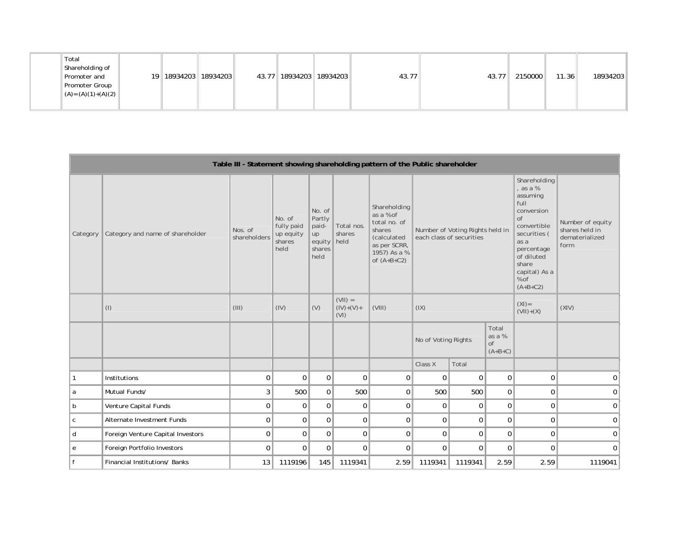| Total | Shareholding of<br>Promoter and<br>Promoter Group<br>$\  (A) = (A)(1) + (A)(2) \ $ | 19   18934203   18934203 |  |  | 43.77    18934203    18934203 |  | 43.77 | 43.77 | 2150000 | 11.36 | 18934203 |
|-------|------------------------------------------------------------------------------------|--------------------------|--|--|-------------------------------|--|-------|-------|---------|-------|----------|
|-------|------------------------------------------------------------------------------------|--------------------------|--|--|-------------------------------|--|-------|-------|---------|-------|----------|

|          |                                   |                         |                                                     |                                                                    |                                   | Table III - Statement showing shareholding pattern of the Public shareholder                                        |                          |                                 |                                    |                                                                                                                                                                                       |                                                              |
|----------|-----------------------------------|-------------------------|-----------------------------------------------------|--------------------------------------------------------------------|-----------------------------------|---------------------------------------------------------------------------------------------------------------------|--------------------------|---------------------------------|------------------------------------|---------------------------------------------------------------------------------------------------------------------------------------------------------------------------------------|--------------------------------------------------------------|
| Category | Category and name of shareholder  | Nos. of<br>shareholders | No. of<br>fully paid<br>up equity<br>shares<br>held | No. of<br>Partly<br>paid-<br>up<br>equity   held<br>shares<br>held | Total nos.<br>shares              | Shareholding<br>as a % of<br>total no. of<br>shares<br>(calculated<br>as per SCRR,<br>1957) As a %<br>of $(A+B+C2)$ | each class of securities | Number of Voting Rights held in |                                    | Shareholding<br>, as a %<br>assuming<br>full<br>conversion<br>of<br>convertible<br>securities (<br>as a<br>percentage<br>of diluted<br>share<br>capital) As a<br>$%$ of<br>$(A+B+C2)$ | Number of equity<br>shares held in<br>dematerialized<br>form |
|          | $($ l $)$                         | (III)                   | (IV)                                                | (V)                                                                | $(VII) =$<br>$(IV)+(V) +$<br>(VI) | (VIII)                                                                                                              | (IX)                     |                                 |                                    | $(XI) =$<br>$(VII)+(X)$                                                                                                                                                               | (XIV)                                                        |
|          |                                   |                         |                                                     |                                                                    |                                   |                                                                                                                     | No of Voting Rights      |                                 | Total<br>as a %<br>of<br>$(A+B+C)$ |                                                                                                                                                                                       |                                                              |
|          |                                   |                         |                                                     |                                                                    |                                   |                                                                                                                     | Class X                  | Total                           |                                    |                                                                                                                                                                                       |                                                              |
|          | Institutions                      | 0                       | $\Omega$                                            | 0 <sup>1</sup>                                                     | $\mathbf 0$                       | $\mathbf 0$                                                                                                         | $\Omega$                 | $\Omega$                        | $\overline{0}$                     | $\mathbf 0$                                                                                                                                                                           | $\mathbf 0$                                                  |
| l a      | Mutual Funds/                     | 3                       | 500                                                 | 0                                                                  | 500                               | 0                                                                                                                   | 500                      | 500                             | $\mathbf 0$                        | $\mathbf 0$                                                                                                                                                                           | 0                                                            |
| b        | Venture Capital Funds             | $\mathbf 0$             | $\mathbf 0$                                         | $\mathbf 0$                                                        | $\mathbf 0$                       | $\mathbf 0$                                                                                                         | $\mathbf 0$              | $\mathbf 0$                     | $\mathbf 0$                        | $\mathbf 0$                                                                                                                                                                           | 0                                                            |
| C        | Alternate Investment Funds        | 0                       | $\mathbf 0$                                         | $\Omega$                                                           | $\mathbf 0$                       | $\mathbf 0$                                                                                                         | $\mathbf 0$              | $\Omega$                        | $\mathbf 0$                        | $\mathbf 0$                                                                                                                                                                           | $\mathbf 0$                                                  |
| d        | Foreign Venture Capital Investors | $\mathbf 0$             | $\mathbf 0$                                         | 0                                                                  | $\mathbf 0$                       | $\mathbf 0$                                                                                                         | $\mathbf 0$              | $\mathbf 0$                     | $\mathbf 0$                        | $\mathbf 0$                                                                                                                                                                           | $\mathbf 0$                                                  |
| е        | Foreign Portfolio Investors       | $\mathbf 0$             | $\Omega$                                            | $\mathbf 0$                                                        | $\mathbf 0$                       | $\Omega$                                                                                                            | $\mathbf 0$              | $\Omega$                        | $\mathbf{0}$                       | $\mathbf 0$                                                                                                                                                                           | $\Omega$                                                     |
| f        | Financial Institutions/ Banks     | 13                      | 1119196                                             | 145                                                                | 1119341                           | 2.59                                                                                                                | 1119341                  | 1119341                         | 2.59                               | 2.59                                                                                                                                                                                  | 1119041                                                      |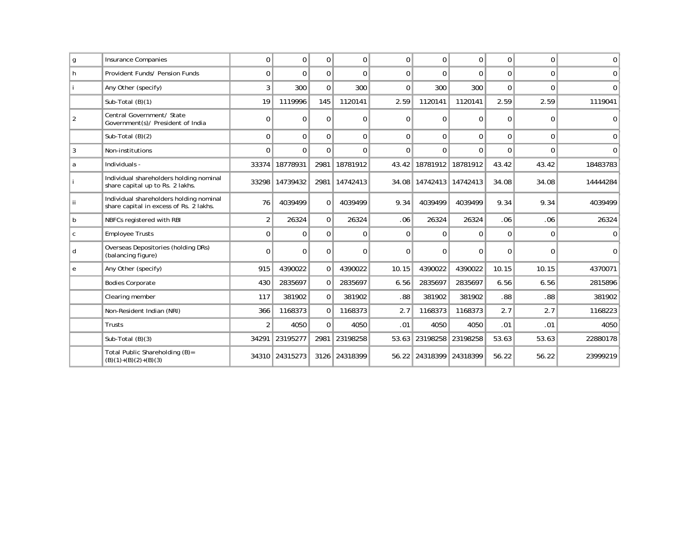| g              | <b>Insurance Companies</b>                                                         | $\Omega$       | $\Omega$       | $\Omega$       | 0             | $\Omega$ | $\Omega$                    | $\Omega$ | $\Omega$ | $\Omega$     | $\mathbf{0}$ |
|----------------|------------------------------------------------------------------------------------|----------------|----------------|----------------|---------------|----------|-----------------------------|----------|----------|--------------|--------------|
| h              | Provident Funds/ Pension Funds                                                     | $\Omega$       | $\Omega$       | $\Omega$       | $\Omega$      | $\Omega$ | $\Omega$                    | $\Omega$ | $\Omega$ | $\Omega$     | $\Omega$     |
|                | Any Other (specify)                                                                | 3              | 300            | $\Omega$       | 300           | $\Omega$ | 300                         | 300      | $\Omega$ | $\mathbf{0}$ | $\Omega$     |
|                | Sub-Total (B)(1)                                                                   | 19             | 1119996        | 145            | 1120141       | 2.59     | 1120141                     | 1120141  | 2.59     | 2.59         | 1119041      |
| $\overline{2}$ | Central Government/ State<br>Government(s)/ President of India                     | $\Omega$       | $\Omega$       | $\Omega$       | 0             | $\Omega$ | $\Omega$                    | $\Omega$ | $\Omega$ | $\Omega$     | $\Omega$     |
|                | Sub-Total $(B)(2)$                                                                 | $\Omega$       | $\Omega$       | $\Omega$       | $\mathbf{0}$  | $\Omega$ | $\Omega$                    | $\Omega$ | $\Omega$ | $\Omega$     | $\Omega$     |
| 3              | Non-institutions                                                                   | $\Omega$       | $\Omega$       | $\Omega$       | $\Omega$      | $\Omega$ | $\Omega$                    | $\Omega$ | $\Omega$ | $\Omega$     | $\Omega$     |
| a              | Individuals -                                                                      | 33374          | 18778931       | 2981           | 18781912      | 43.42    | 18781912 18781912           |          | 43.42    | 43.42        | 18483783     |
|                | Individual shareholders holding nominal<br>share capital up to Rs. 2 lakhs.        |                | 33298 14739432 |                | 2981 14742413 |          | 34.08   14742413   14742413 |          | 34.08    | 34.08        | 14444284     |
| İί             | Individual shareholders holding nominal<br>share capital in excess of Rs. 2 lakhs. | 76             | 4039499        | $\overline{0}$ | 4039499       | 9.34     | 4039499                     | 4039499  | 9.34     | 9.34         | 4039499      |
| b              | NBFCs registered with RBI                                                          | $\overline{2}$ | 26324          | $\Omega$       | 26324         | .06      | 26324                       | 26324    | .06      | .06          | 26324        |
| C              | <b>Employee Trusts</b>                                                             | $\Omega$       | $\Omega$       | $\Omega$       | $\Omega$      | $\Omega$ | $\Omega$                    | $\Omega$ | $\Omega$ | $\Omega$     | <sup>n</sup> |
| d              | Overseas Depositories (holding DRs)<br>(balancing figure)                          | 0              | $\Omega$       | $\Omega$       | $\Omega$      | $\Omega$ | $\Omega$                    | $\Omega$ | $\Omega$ | $\Omega$     | $\Omega$     |
| e              | Any Other (specify)                                                                | 915            | 4390022        | 0 <sup>1</sup> | 4390022       | 10.15    | 4390022                     | 4390022  | 10.15    | 10.15        | 4370071      |
|                | <b>Bodies Corporate</b>                                                            | 430            | 2835697        | 0 <sup>1</sup> | 2835697       | 6.56     | 2835697                     | 2835697  | 6.56     | 6.56         | 2815896      |
|                | Clearing member                                                                    | 117            | 381902         | $\Omega$       | 381902        | .88      | 381902                      | 381902   | .88      | .88          | 381902       |
|                | Non-Resident Indian (NRI)                                                          | 366            | 1168373        | 0 <sup>1</sup> | 1168373       | 2.7      | 1168373                     | 1168373  | 2.7      | 2.7          | 1168223      |
|                | Trusts                                                                             | $\overline{2}$ | 4050           | $\Omega$       | 4050          | .01      | 4050                        | 4050     | .01      | .01          | 4050         |
|                | Sub-Total $(B)(3)$                                                                 | 34291          | 23195277       | 2981           | 23198258      | 53.63    | 23198258                    | 23198258 | 53.63    | 53.63        | 22880178     |
|                | Total Public Shareholding (B)=<br>$(B)(1)+(B)(2)+(B)(3)$                           |                | 34310 24315273 |                | 3126 24318399 |          | 56.22 24318399 24318399     |          | 56.22    | 56.22        | 23999219     |